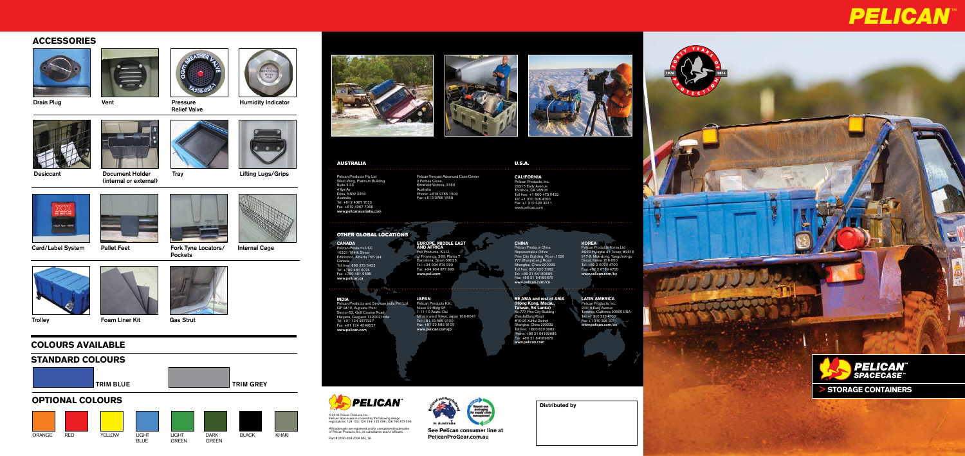

All trademarks are registered and/or unregistered trademarks of Pelican Products, Inc., its subsidiaries and/or affiliates.



Desiccant **Document Holder** Tray **Comment Holder** Desiccant Lifting Lugs/Grips (internal or external)









Part # 0030-008-700A MR\_16



**See Pelican consumer line at PelicanProGear.com.au**

# **PELICAN**

 $\mathbf{E}$ 





## **ACCESSORIES**







Relief Valve



Drain Plug **Vent** Vent **Pressure** Pressure Humidity Indicator







**CHIR TEXT!** 





**Trolley Case Strut Foam Liner Kit Gas Strut** 

Pockets







**Distributed by**

### AUSTRALIA U.S.A.

**CALIFORNIA** Pelican Products, Inc.

23215 Early Avenue Torrance, CA 90505 Toll free: +1 800 473 5422 Tel: +1 310 326 4700 Fax: +1 310 326 3311 www.pelican.com

Pelican Products Pty Ltd West Wing, Platinum Building Suite 2.33 4 Ilya Av Erina, NSW 2250 Australia Tel: +612 4367 7022 Fax: +612 4367 7066 www.pelicanaustralia.com

Pelican-Trimcast Advanced Case Center 2 Forbes Close, Knoxfield Victoria, 3180 Australia Phone: +613 9765 1500 Fax: +613 9765 1550

### OTHER GLOBAL LOCATIONS

**CANADA** Pelican Products ULC 10221-184th Street Edmonton, Alberta T5S 2J4 Canada Toll free: 866 273 5422 Tel: +780 481 6076 Fax: +780 481 9586 www.pelican.ca

### **EUROPE, MIDDLE EAST AND AFRICA** Peli Products, S.L.U. c/ Provença, 388, Planta 7 Barcelona, Spain 08025 Tel: +34 934 674 999 Fax: +34 934 877 393 www.peli.com



### **CHINA**

Pelican Products China Representative Office Pine City Building, Room 1026 777 Zhaojiabang Road Shanghai, China 200032 Toll free: 800 820 3082 Tel: +86 21 64189685 Fax: +86 21 64189679 www.pelican.com/cn

**KOREA** Pelican Products Korea Ltd #909 Hyundai 41 Tower, #2616 917-9, Mok-dong, Yangchon-gu Seoul, Korea 158-050 Tel: +82 2 6092 4700 Fax: +82 2 6739 4700 www.pelican.com/ko

**INDIA** Pelican Products and Services India Pvt. Ltd GF 9&10, Augusta Point Sector-53, Golf Course Road

Haryana, Gurgaon 122002 India Tel: +91 124 4377227 Fax: +91 124 4049227 www.pelican.com

### **JAPAN** Pelican Products K.K. Nisso 22 Bldg 9F 1-11-10 Azabu Dai Minato ward Tokyo, Japan 106-0041 Tel: +81 33 585 9100 Fax: +81 33 585 9109 www.pelican.com/jp

**SE ASIA and rest of ASIA (Hong Kong, Macau, Taiwan, Sri Lanka)** No.777, Pine City Building ZhaoJiaBang Road #10-26 XuHui District Shanghai, China 200032 Toll free: 1 800 820 3082 Phone: +86 21 64189685 Fax: +86 21 64189679 www.pelican.com

**LATIN AMERICA** Pelican Products, Inc. 23215 Early Avenue Torrance, California 90505 USA Tel: +1 310 326 4700 Fax: +1 310 326 3311 www.pelican.com/es